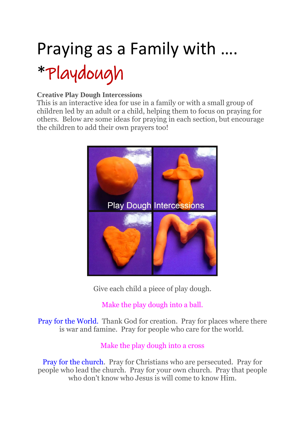# Praying as a Family with ….

# \*Playdough

#### **Creative Play Dough Intercessions**

This is an interactive idea for use in a family or with a small group of children led by an adult or a child, helping them to focus on praying for others. Below are some ideas for praying in each section, but encourage the children to add their own prayers too!



Give each child a piece of play dough.

Make the play dough into a ball.

Pray for the World. Thank God for creation. Pray for places where there is war and famine. Pray for people who care for the world.

#### Make the play dough into a cross

Pray for the church. Pray for Christians who are persecuted. Pray for people who lead the church. Pray for your own church. Pray that people who don't know who Jesus is will come to know Him.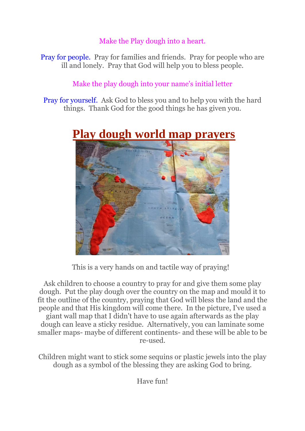### Make the Play dough into a heart.

Pray for people. Pray for families and friends. Pray for people who are ill and lonely. Pray that God will help you to bless people.

### Make the play dough into your name's initial letter

Pray for yourself. Ask God to bless you and to help you with the hard things. Thank God for the good things he has given you.



# **[Play dough world map prayers](http://flamecreativekids.blogspot.com/2014/06/play-dough-world-map-prayers.html)**

This is a very hands on and tactile way of praying!

Ask children to choose a country to pray for and give them some play dough. Put the play dough over the country on the map and mould it to fit the outline of the country, praying that God will bless the land and the people and that His kingdom will come there. In the picture, I've used a giant wall map that I didn't have to use again afterwards as the play dough can leave a sticky residue. Alternatively, you can laminate some smaller maps- maybe of different continents- and these will be able to be re-used.

Children might want to stick some sequins or plastic jewels into the play dough as a symbol of the blessing they are asking God to bring.

Have fun!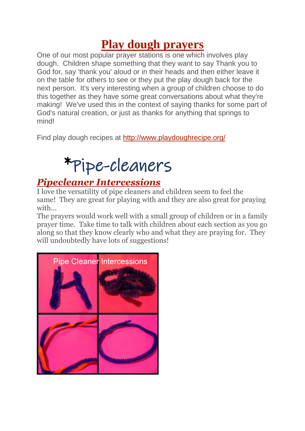# **[Play dough prayers](http://flamecreativekids.blogspot.com/2012/01/play-dough-prayers.html)**

One of our most popular prayer stations is one which involves play dough. Children shape something that they want to say Thank you to God for, say 'thank you' aloud or in their heads and then either leave it on the table for others to see or they put the play dough back for the next person. It's very interesting when a group of children choose to do this together as they have some great conversations about what they're making! We've used this in the context of saying thanks for some part of God's natural creation, or just as thanks for anything that springs to mind!

Find play dough recipes at <http://www.playdoughrecipe.org/>

# \*Pipe-cleaners

## *[Pipecleaner Intercessions](http://flamecreativekids.blogspot.co.uk/2014/10/pipe-cleaner-intercessions.html)*

I love the versatility of pipe cleaners and children seem to feel the same! They are great for playing with and they are also great for praying with...

The prayers would work well with a small group of children or in a family prayer time. Take time to talk with children about each section as you go along so that they know clearly who and what they are praying for. They will undoubtedly have lots of suggestions!